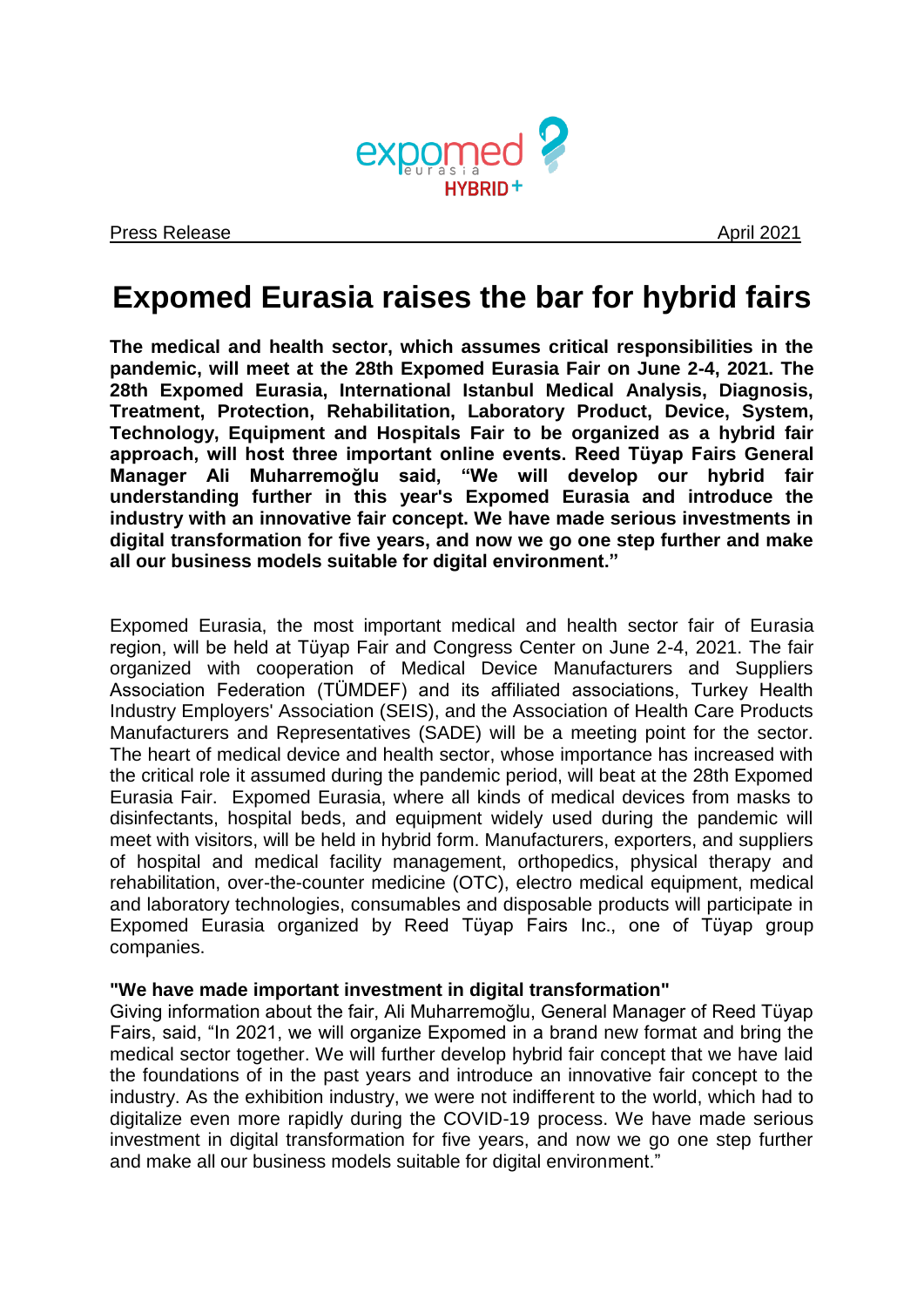

# **Expomed Eurasia raises the bar for hybrid fairs**

**The medical and health sector, which assumes critical responsibilities in the pandemic, will meet at the 28th Expomed Eurasia Fair on June 2-4, 2021. The 28th Expomed Eurasia, International Istanbul Medical Analysis, Diagnosis, Treatment, Protection, Rehabilitation, Laboratory Product, Device, System, Technology, Equipment and Hospitals Fair to be organized as a hybrid fair approach, will host three important online events. Reed Tüyap Fairs General Manager Ali Muharremoğlu said, "We will develop our hybrid fair understanding further in this year's Expomed Eurasia and introduce the industry with an innovative fair concept. We have made serious investments in digital transformation for five years, and now we go one step further and make all our business models suitable for digital environment."**

Expomed Eurasia, the most important medical and health sector fair of Eurasia region, will be held at Tüyap Fair and Congress Center on June 2-4, 2021. The fair organized with cooperation of Medical Device Manufacturers and Suppliers Association Federation (TÜMDEF) and its affiliated associations, Turkey Health Industry Employers' Association (SEIS), and the Association of Health Care Products Manufacturers and Representatives (SADE) will be a meeting point for the sector. The heart of medical device and health sector, whose importance has increased with the critical role it assumed during the pandemic period, will beat at the 28th Expomed Eurasia Fair. Expomed Eurasia, where all kinds of medical devices from masks to disinfectants, hospital beds, and equipment widely used during the pandemic will meet with visitors, will be held in hybrid form. Manufacturers, exporters, and suppliers of hospital and medical facility management, orthopedics, physical therapy and rehabilitation, over-the-counter medicine (OTC), electro medical equipment, medical and laboratory technologies, consumables and disposable products will participate in Expomed Eurasia organized by Reed Tüyap Fairs Inc., one of Tüyap group companies.

## **"We have made important investment in digital transformation"**

Giving information about the fair, Ali Muharremoğlu, General Manager of Reed Tüyap Fairs, said, "In 2021, we will organize Expomed in a brand new format and bring the medical sector together. We will further develop hybrid fair concept that we have laid the foundations of in the past years and introduce an innovative fair concept to the industry. As the exhibition industry, we were not indifferent to the world, which had to digitalize even more rapidly during the COVID-19 process. We have made serious investment in digital transformation for five years, and now we go one step further and make all our business models suitable for digital environment."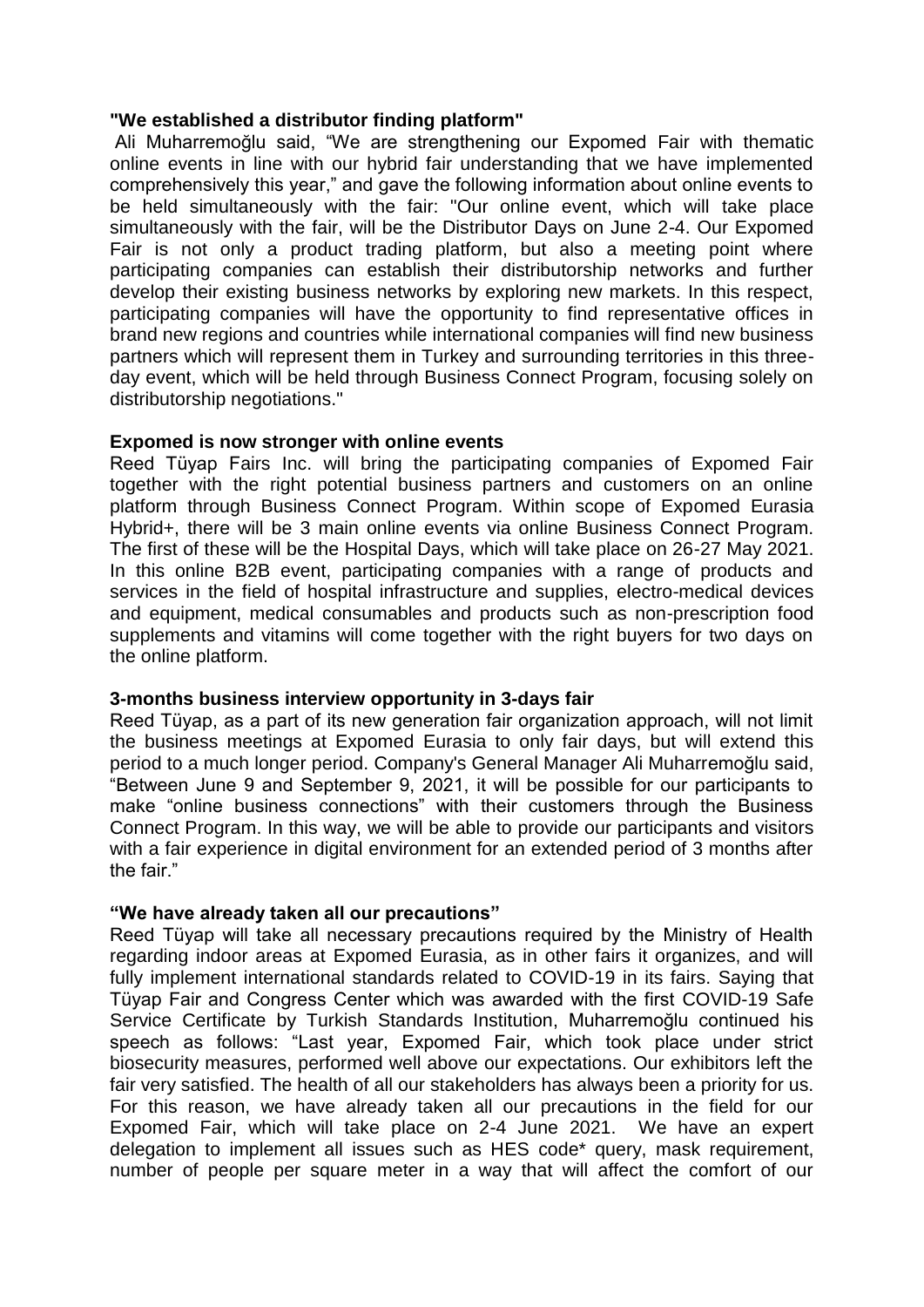### **"We established a distributor finding platform"**

Ali Muharremoğlu said, "We are strengthening our Expomed Fair with thematic online events in line with our hybrid fair understanding that we have implemented comprehensively this year," and gave the following information about online events to be held simultaneously with the fair: "Our online event, which will take place simultaneously with the fair, will be the Distributor Days on June 2-4. Our Expomed Fair is not only a product trading platform, but also a meeting point where participating companies can establish their distributorship networks and further develop their existing business networks by exploring new markets. In this respect, participating companies will have the opportunity to find representative offices in brand new regions and countries while international companies will find new business partners which will represent them in Turkey and surrounding territories in this threeday event, which will be held through Business Connect Program, focusing solely on distributorship negotiations."

### **Expomed is now stronger with online events**

Reed Tüyap Fairs Inc. will bring the participating companies of Expomed Fair together with the right potential business partners and customers on an online platform through Business Connect Program. Within scope of Expomed Eurasia Hybrid+, there will be 3 main online events via online Business Connect Program. The first of these will be the Hospital Days, which will take place on 26-27 May 2021. In this online B2B event, participating companies with a range of products and services in the field of hospital infrastructure and supplies, electro-medical devices and equipment, medical consumables and products such as non-prescription food supplements and vitamins will come together with the right buyers for two days on the online platform.

## **3-months business interview opportunity in 3-days fair**

Reed Tüyap, as a part of its new generation fair organization approach, will not limit the business meetings at Expomed Eurasia to only fair days, but will extend this period to a much longer period. Company's General Manager Ali Muharremoğlu said, "Between June 9 and September 9, 2021, it will be possible for our participants to make "online business connections" with their customers through the Business Connect Program. In this way, we will be able to provide our participants and visitors with a fair experience in digital environment for an extended period of 3 months after the fair."

#### **"We have already taken all our precautions"**

Reed Tüyap will take all necessary precautions required by the Ministry of Health regarding indoor areas at Expomed Eurasia, as in other fairs it organizes, and will fully implement international standards related to COVID-19 in its fairs. Saying that Tüyap Fair and Congress Center which was awarded with the first COVID-19 Safe Service Certificate by Turkish Standards Institution, Muharremoğlu continued his speech as follows: "Last year, Expomed Fair, which took place under strict biosecurity measures, performed well above our expectations. Our exhibitors left the fair very satisfied. The health of all our stakeholders has always been a priority for us. For this reason, we have already taken all our precautions in the field for our Expomed Fair, which will take place on 2-4 June 2021. We have an expert delegation to implement all issues such as HES code\* query, mask requirement, number of people per square meter in a way that will affect the comfort of our